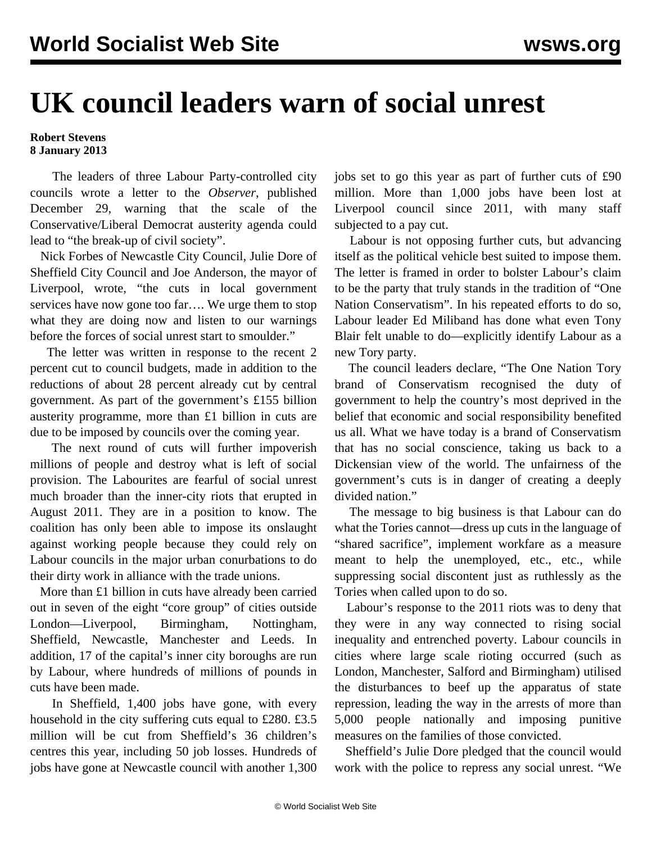## **UK council leaders warn of social unrest**

## **Robert Stevens 8 January 2013**

 The leaders of three Labour Party-controlled city councils wrote a letter to the *Observer*, published December 29, warning that the scale of the Conservative/Liberal Democrat austerity agenda could lead to "the break-up of civil society".

 Nick Forbes of Newcastle City Council, Julie Dore of Sheffield City Council and Joe Anderson, the mayor of Liverpool, wrote, "the cuts in local government services have now gone too far…. We urge them to stop what they are doing now and listen to our warnings before the forces of social unrest start to smoulder."

 The letter was written in response to the recent 2 percent cut to council budgets, made in addition to the reductions of about 28 percent already cut by central government. As part of the government's £155 billion austerity programme, more than £1 billion in cuts are due to be imposed by councils over the coming year.

 The next round of cuts will further impoverish millions of people and destroy what is left of social provision. The Labourites are fearful of social unrest much broader than the inner-city riots that erupted in August 2011. They are in a position to know. The coalition has only been able to impose its onslaught against working people because they could rely on Labour councils in the major urban conurbations to do their dirty work in alliance with the trade unions.

 More than £1 billion in cuts have already been carried out in seven of the eight "core group" of cities outside London—Liverpool, Birmingham, Nottingham, Sheffield, Newcastle, Manchester and Leeds. In addition, 17 of the capital's inner city boroughs are run by Labour, where hundreds of millions of pounds in cuts have been made.

 In Sheffield, 1,400 jobs have gone, with every household in the city suffering cuts equal to £280. £3.5 million will be cut from Sheffield's 36 children's centres this year, including 50 job losses. Hundreds of jobs have gone at Newcastle council with another 1,300 jobs set to go this year as part of further cuts of £90 million. More than 1,000 jobs have been lost at Liverpool council since 2011, with many staff subjected to a pay cut.

 Labour is not opposing further cuts, but advancing itself as the political vehicle best suited to impose them. The letter is framed in order to bolster Labour's claim to be the party that truly stands in the tradition of "One Nation Conservatism". In his repeated efforts to do so, Labour leader Ed Miliband has done what even Tony Blair felt unable to do—explicitly identify Labour as a new Tory party.

 The council leaders declare, "The One Nation Tory brand of Conservatism recognised the duty of government to help the country's most deprived in the belief that economic and social responsibility benefited us all. What we have today is a brand of Conservatism that has no social conscience, taking us back to a Dickensian view of the world. The unfairness of the government's cuts is in danger of creating a deeply divided nation."

 The message to big business is that Labour can do what the Tories cannot—dress up cuts in the language of "shared sacrifice", implement workfare as a measure meant to help the unemployed, etc., etc., while suppressing social discontent just as ruthlessly as the Tories when called upon to do so.

 Labour's response to the 2011 riots was to deny that they were in any way connected to rising social inequality and entrenched poverty. Labour councils in cities where large scale rioting occurred (such as London, Manchester, Salford and Birmingham) utilised the disturbances to beef up the apparatus of state repression, leading the way in the arrests of more than 5,000 people nationally and imposing punitive measures on the families of those convicted.

 Sheffield's Julie Dore pledged that the council would work with the police to repress any social unrest. "We